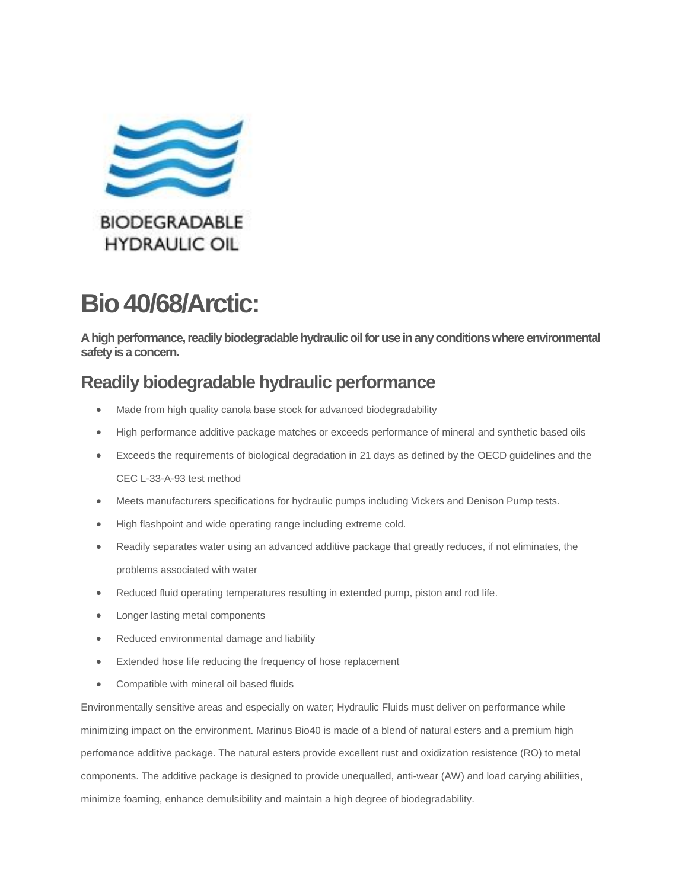

# **Bio 40/68/Arctic:**

**A high performance, readily biodegradable hydraulic oil for use in any conditions where environmental safety is a concern.**

## **Readily biodegradable hydraulic performance**

- Made from high quality canola base stock for advanced biodegradability
- High performance additive package matches or exceeds performance of mineral and synthetic based oils
- Exceeds the requirements of biological degradation in 21 days as defined by the OECD guidelines and the CEC L-33-A-93 test method
- Meets manufacturers specifications for hydraulic pumps including Vickers and Denison Pump tests.
- High flashpoint and wide operating range including extreme cold.
- Readily separates water using an advanced additive package that greatly reduces, if not eliminates, the problems associated with water
- Reduced fluid operating temperatures resulting in extended pump, piston and rod life.
- Longer lasting metal components
- Reduced environmental damage and liability
- **Extended hose life reducing the frequency of hose replacement**
- Compatible with mineral oil based fluids

Environmentally sensitive areas and especially on water; Hydraulic Fluids must deliver on performance while minimizing impact on the environment. Marinus Bio40 is made of a blend of natural esters and a premium high perfomance additive package. The natural esters provide excellent rust and oxidization resistence (RO) to metal components. The additive package is designed to provide unequalled, anti-wear (AW) and load carying abiliities, minimize foaming, enhance demulsibility and maintain a high degree of biodegradability.